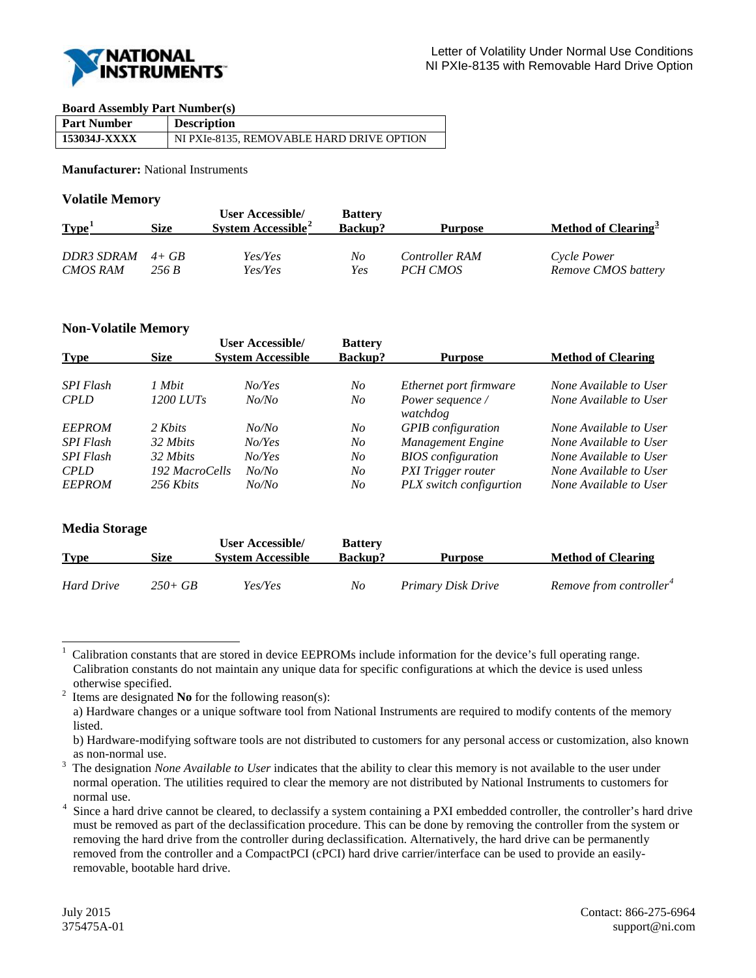

#### **Board Assembly Part Number(s)**

| <b>Part Number</b> | <b>Description</b>                        |
|--------------------|-------------------------------------------|
| 153034J-XXXX       | NI PXIe-8135, REMOVABLE HARD DRIVE OPTION |

**Manufacturer:** National Instruments

#### **Volatile Memory**

| Type <sup>1</sup> | Size  | User Accessible/<br>System Accessible <sup>2</sup> | <b>Battery</b><br><b>Backup?</b> | Purpose        | Method of Clearing <sup>3</sup> |
|-------------------|-------|----------------------------------------------------|----------------------------------|----------------|---------------------------------|
| DDR3 SDRAM $4+GB$ |       | Yes/Yes                                            | No                               | Controller RAM | Cycle Power                     |
| <b>CMOS RAM</b>   | 256 B | Yes/Yes                                            | Yes                              | PCH CMOS       | Remove CMOS battery             |

# **Non-Volatile Memory**

| <b>Type</b>      | <b>Size</b>    | <b>User Accessible/</b><br><b>System Accessible</b> | <b>Battery</b><br><b>Backup?</b> | <b>Purpose</b>               | <b>Method of Clearing</b> |
|------------------|----------------|-----------------------------------------------------|----------------------------------|------------------------------|---------------------------|
|                  |                |                                                     |                                  |                              |                           |
| <b>SPI Flash</b> | 1 Mbit         | No/Yes                                              | No                               | Ethernet port firmware       | None Available to User    |
| <b>CPLD</b>      | 1200 LUTs      | No/No                                               | No                               | Power sequence /<br>watchdog | None Available to User    |
| <b>EEPROM</b>    | 2 Khits        | No/No                                               | No                               | <b>GPIB</b> configuration    | None Available to User    |
| <b>SPI Flash</b> | 32 Mbits       | NoYes                                               | No                               | Management Engine            | None Available to User    |
| <b>SPI Flash</b> | 32 Mbits       | No/Yes                                              | No                               | <b>BIOS</b> configuration    | None Available to User    |
| <b>CPLD</b>      | 192 MacroCells | No/No                                               | No                               | <b>PXI</b> Trigger router    | None Available to User    |
| <b>EEPROM</b>    | 256 Khits      | No/No                                               | No                               | PLX switch configurtion      | None Available to User    |

# **Media Storage**

| <b>Type</b>       | Size       | <b>User Accessible/</b><br><b>System Accessible</b> | <b>Battery</b><br><b>Backup?</b> | <b>Purpose</b>     | <b>Method of Clearing</b>           |
|-------------------|------------|-----------------------------------------------------|----------------------------------|--------------------|-------------------------------------|
| <b>Hard Drive</b> | $250 + GB$ | Yes/Yes                                             | No                               | Primary Disk Drive | Remove from controller <sup>4</sup> |

<span id="page-0-0"></span><sup>|&</sup>lt;br>|<br>| Calibration constants that are stored in device EEPROMs include information for the device's full operating range. Calibration constants do not maintain any unique data for specific configurations at which the device is used unless otherwise specified.<br> $\frac{2}{1}$  Items are designated

<span id="page-0-1"></span>Items are designated **No** for the following reason(s):

a) Hardware changes or a unique software tool from National Instruments are required to modify contents of the memory listed.

b) Hardware-modifying software tools are not distributed to customers for any personal access or customization, also known as non-normal use.<br> $\frac{3}{2}$  Theoderic matrix  $\frac{M}{2}$ 

<span id="page-0-2"></span>The designation *None Available to User* indicates that the ability to clear this memory is not available to the user under normal operation. The utilities required to clear the memory are not distributed by National Instruments to customers for normal use.

<span id="page-0-3"></span><sup>&</sup>lt;sup>4</sup> Since a hard drive cannot be cleared, to declassify a system containing a PXI embedded controller, the controller's hard drive must be removed as part of the declassification procedure. This can be done by removing the controller from the system or removing the hard drive from the controller during declassification. Alternatively, the hard drive can be permanently removed from the controller and a CompactPCI (cPCI) hard drive carrier/interface can be used to provide an easilyremovable, bootable hard drive.